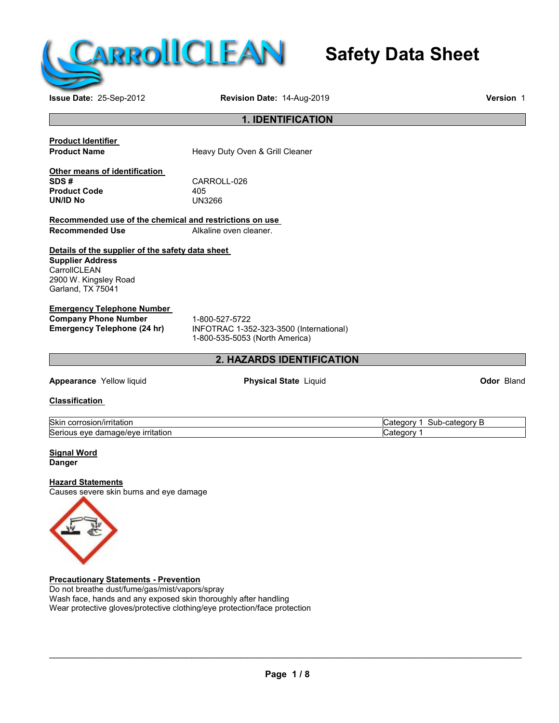

# **Safety Data Sheet**

**Issue Date:** 25-Sep-2012 **Revision Date:** 14-Aug-2019 **Version** 1

# **1. IDENTIFICATION**

**Product Identifier**

**Heavy Duty Oven & Grill Cleaner** 

**Other means of identification Product Code** 405 **UN/ID No** 

CARROLL-026<br>405

**Recommended use of the chemical and restrictions on use Alkaline oven cleaner.** 

**Details of the supplier of the safety data sheet Supplier Address CarrollCLEAN** 2900 W. Kingsley Road Garland, TX 75041

# **Emergency Telephone Number Company Phone Number** 1-800-527-5722<br> **Emergency Telephone (24 hr)** INFOTRAC 1-35

**Emergency Telephone (24 hr)** INFOTRAC 1-352-323-3500 (International) 1-800-535-5053 (North America)

# **2. HAZARDS IDENTIFICATION**

**Appearance** Yellow liquid **Physical State** Liquid **Odor** Bland

**Classification**

| Skin<br>rosion/irritation<br>JUIT.                          | .,<br>$-9001$<br>$\sim$<br>suc<br>.atec<br>aorv<br>-111-<br>. . |
|-------------------------------------------------------------|-----------------------------------------------------------------|
| Seriou<br>. .<br><b>Irritation</b><br>eve<br>one/eve<br>dar | $\overline{\phantom{a}}$<br>$-$<br>าดาง<br>-111-                |

# **Signal Word Danger**

# **Hazard Statements**

Causes severe skin burns and eye damage



**Precautionary Statements - Prevention** Do not breathe dust/fume/gas/mist/vapors/spray Wash face, hands and any exposed skin thoroughly after handling Wear protective gloves/protective clothing/eye protection/face protection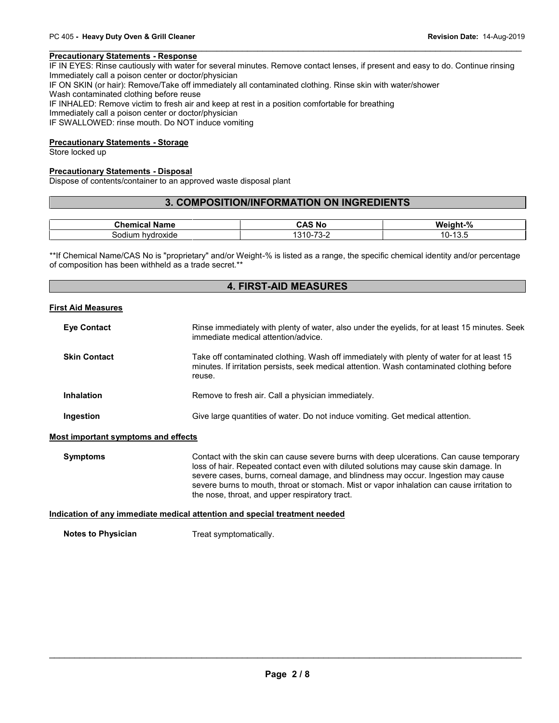PC 405 - **Heavy Duty Oven & Grill Cleaner**<br> **Precautionary Statements - Response**<br>IF IN EYES: Rinse cautiously with water for several minutes. Remove contact lenses, if present and easy to do. Continue rinsing<br>Immediately Immediately call a poison center or doctor/physician IF ON SKIN (or hair): Remove/Take off immediately all contaminated clothing. Rinse skin with water/shower **Precautionary Statements - Response**<br>IF IN EYES: Rinse cautiously with water for severa<br>Immediately call a poison center or doctor/physicial<br>IF ON SKIN (or hair): Remove/Take off immediately<br>Wash contaminated clothing bef IF INHALED: Remove victim to fresh air and keep at rest in a position comfortable for breathing Immediately call a poison center or doctor/physician IF SWALLOWED: rinse mouth. Do NOT induce vomiting

# **Precautionary Statements - Storage**

Store locked up

# **Precautionary Statements - Disposal**

Dispose of contents/container to an approved waste disposal plant

# **3. COMPOSITION/INFORMATION ON INGREDIENTS**

| Chamiaal<br>Name<br><b>Unemical</b> | <b>N</b> c<br>∵AS ت                          | $\mathbf{a}$<br>Weight-<br>7٥ |
|-------------------------------------|----------------------------------------------|-------------------------------|
| hvdroxide<br>sodium                 | $\overline{\phantom{a}}$<br>1 U-<br>- ت<br>ີ | $\sim$<br>10-۱<br>ں. ب        |

\*\*If Chemical Name/CAS No is "proprietary" and/or Weight-% is listed as a range, the specific chemical identity and/or percentage of composition has been withheld as a trade secret.\*\*

# **4. FIRST-AID MEASURES**

#### **First Aid Measures**

| <b>Eye Contact</b>                         | Rinse immediately with plenty of water, also under the eyelids, for at least 15 minutes. Seek<br>immediate medical attention/advice.                                                                                                                                                                                                                                                                                 |
|--------------------------------------------|----------------------------------------------------------------------------------------------------------------------------------------------------------------------------------------------------------------------------------------------------------------------------------------------------------------------------------------------------------------------------------------------------------------------|
| <b>Skin Contact</b>                        | Take off contaminated clothing. Wash off immediately with plenty of water for at least 15<br>minutes. If irritation persists, seek medical attention. Wash contaminated clothing before<br>reuse.                                                                                                                                                                                                                    |
| <b>Inhalation</b>                          | Remove to fresh air. Call a physician immediately.                                                                                                                                                                                                                                                                                                                                                                   |
| Ingestion                                  | Give large quantities of water. Do not induce vomiting. Get medical attention.                                                                                                                                                                                                                                                                                                                                       |
| <b>Most important symptoms and effects</b> |                                                                                                                                                                                                                                                                                                                                                                                                                      |
| <b>Symptoms</b>                            | Contact with the skin can cause severe burns with deep ulcerations. Can cause temporary<br>loss of hair. Repeated contact even with diluted solutions may cause skin damage. In<br>severe cases, burns, corneal damage, and blindness may occur. Ingestion may cause<br>severe burns to mouth, throat or stomach. Mist or vapor inhalation can cause irritation to<br>the nose, throat, and upper respiratory tract. |
|                                            | $\mathbf{r}$ , and the set of the set of the set of the set of the set of the set of the set of the set of the set of the set of the set of the set of the set of the set of the set of the set of the set of the set of the set                                                                                                                                                                                     |

# **Indication of any immediate medical attention and special treatment needed**

**Notes to Physician** Treat symptomatically.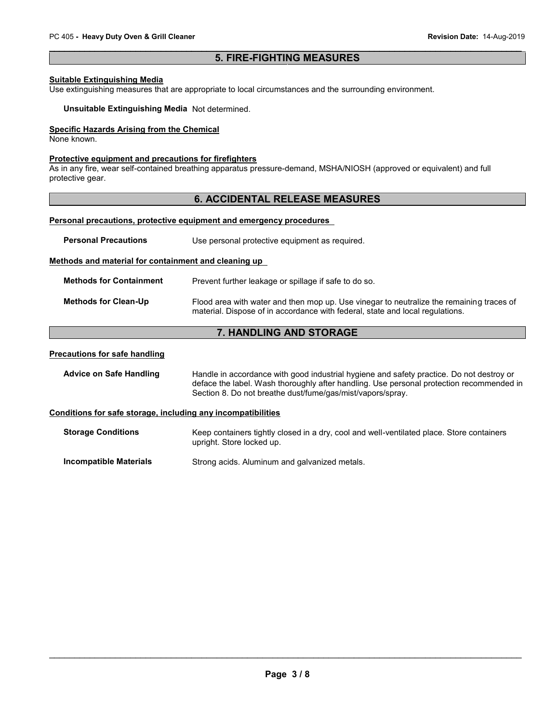# **5. FIRE-FIGHTING MEASURES**

# **Suitable Extinguishing Media**

Use extinguishing measures that are appropriate to local circumstances and the surrounding environment.

**Unsuitable Extinguishing Media** Not determined.

# **Specific Hazards Arising from the Chemical**

None known.

# **Protective equipment and precautions for firefighters**

As in any fire, wear self-contained breathing apparatus pressure-demand, MSHA/NIOSH (approved or equivalent) and full protective gear.

# **6. ACCIDENTAL RELEASE MEASURES**

# **Personal precautions, protective equipment and emergency procedures**

| <b>Personal Precautions</b>                                  | Use personal protective equipment as required.                                                                                                                                                                                                     |  |
|--------------------------------------------------------------|----------------------------------------------------------------------------------------------------------------------------------------------------------------------------------------------------------------------------------------------------|--|
| Methods and material for containment and cleaning up         |                                                                                                                                                                                                                                                    |  |
| <b>Methods for Containment</b>                               | Prevent further leakage or spillage if safe to do so.                                                                                                                                                                                              |  |
| <b>Methods for Clean-Up</b>                                  | Flood area with water and then mop up. Use vinegar to neutralize the remaining traces of<br>material. Dispose of in accordance with federal, state and local regulations.                                                                          |  |
|                                                              | <b>7. HANDLING AND STORAGE</b>                                                                                                                                                                                                                     |  |
| <b>Precautions for safe handling</b>                         |                                                                                                                                                                                                                                                    |  |
| <b>Advice on Safe Handling</b>                               | Handle in accordance with good industrial hygiene and safety practice. Do not destroy or<br>deface the label. Wash thoroughly after handling. Use personal protection recommended in<br>Section 8. Do not breathe dust/fume/gas/mist/vapors/spray. |  |
| Conditions for safe storage, including any incompatibilities |                                                                                                                                                                                                                                                    |  |
| <b>Storage Conditions</b>                                    | Keep containers tightly closed in a dry, cool and well-ventilated place. Store containers<br>upright. Store locked up.                                                                                                                             |  |
| <b>Incompatible Materials</b>                                | Strong acids. Aluminum and galvanized metals.                                                                                                                                                                                                      |  |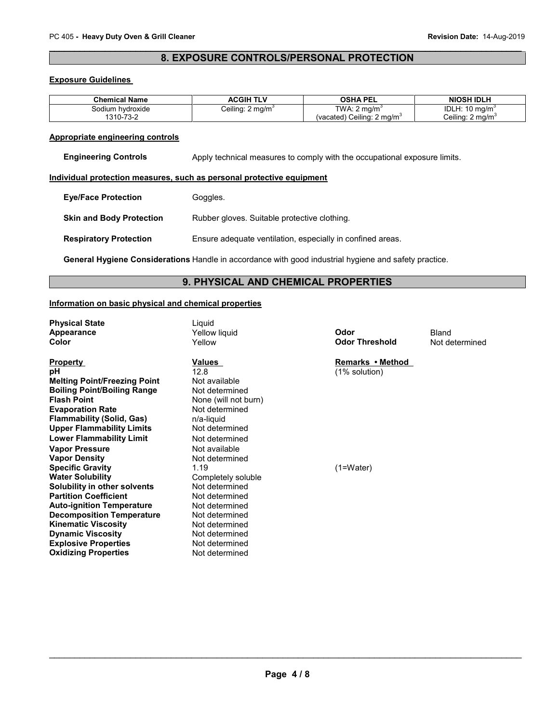# **8. EXPOSURE CONTROLS/PERSONAL PROTECTION**

# **Exposure Guidelines**

| <b>Chemical Name</b> | <b>ACGIH TLV</b>             | OSHA PEL                              | <b>NIOSH IDLH</b>             |
|----------------------|------------------------------|---------------------------------------|-------------------------------|
| Sodium hvdroxide     | Ceiling: 2 mg/m <sup>3</sup> | TWA: 2<br>∠ ma/m°                     | IDLH:<br>: 10 ma/m $^{\circ}$ |
| 1310-73-2            |                              | (vacated) Ceiling: $2 \text{ mg/m}^3$ | Ceiling: 2 mg/m <sup>3</sup>  |

#### **Appropriate engineering controls**

**Engineering Controls** Apply technical measures to comply with the occupational exposure limits.

#### **Individual protection measures, such as personal protective equipment**

| <b>Eye/Face Protection</b> | Goggles. |
|----------------------------|----------|
|----------------------------|----------|

**Skin and Body Protection** Rubber gloves. Suitable protective clothing.

**Respiratory Protection** Ensure adequate ventilation, especially in confined areas.

**General Hygiene Considerations** Handle in accordance with good industrial hygiene and safety practice.

# **9. PHYSICAL AND CHEMICAL PROPERTIES**

# **Information on basic physical and chemical properties**

**Physical State**<br> **Appearance** The Computer of Manus Yellow liquid

**Boiling Point/Boiling Range<br>Flash Point Evaporation Rate Not determined Rate Constructs**<br> **Flammability (Solid, Gas)** (*n*/a-liquid **Flammability (Solid, Gas)** n/a-liquid<br> **Upper Flammability Limits** Not determined **Upper Flammability Limits Lower Flammability Limit** Not determined **Vapor Pressure** Not available<br> **Vapor Density** Not determine **Specific Gravity** 1.19 1.19 (1=Water)<br> **Water Solubility** Completely soluble **Solubility in other solvents** Not determined<br> **Partition Coefficient** Not determined **Partition Coefficient Not determined**<br> **Auto-ignition Temperature** Not determined **Auto-ignition Temperature Decomposition Temperature** Not determined<br> **Kinematic Viscosity** Not determined **Kinematic Viscosity Not determined**<br> **Discussity Not determined Dynamic Viscosity**<br> **Explosive Properties**<br>
Not determined **Explosive Properties** Not determined<br> **Oxidizing Properties** Not determined **Oxidizing Properties** 

**12.8** (1% solution)<br>Not available **Melting Point/Freezing Point** Not available<br>**Boiling Point/Boiling Range** Not determined **None (will not burn)**<br>Not determined **Not determined** Completely soluble<br>Not determined

**Appearance** Yellow liquid **Odor** Bland **Color** Yellow **Odor Threshold** Not determined

**Property Remarks • Method**<br> **PRIOR 12.8 Remarks • Method**<br> **PRIOR 12.8 Remarks • Method**<br> **PRIOR 12.8 Remarks • Method**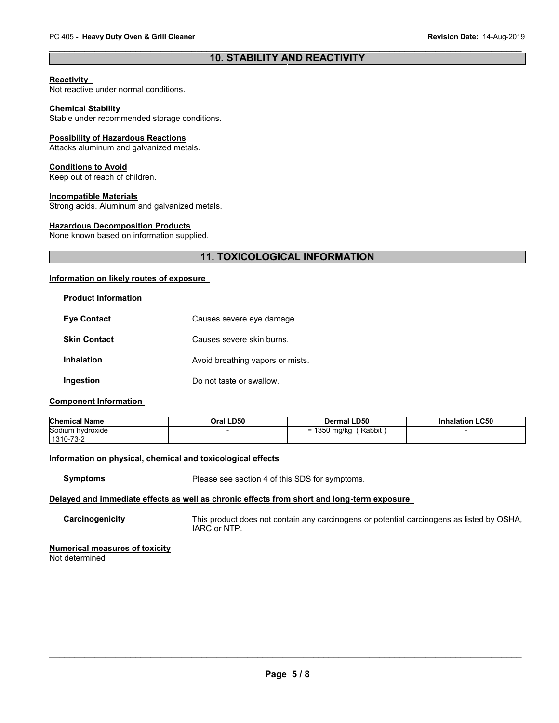# **10. STABILITY AND REACTIVITY**

# **Reactivity**

Not reactive under normal conditions.

#### **Chemical Stability**

Stable under recommended storage conditions.

#### **Possibility of Hazardous Reactions**

Attacks aluminum and galvanized metals.

### **Conditions to Avoid**

Keep out of reach of children.

# **Incompatible Materials**

Strong acids. Aluminum and galvanized metals.

# **Hazardous Decomposition Products**

None known based on information supplied.

# **11. TOXICOLOGICAL INFORMATION**

# **Information on likely routes of exposure**

| <b>Product Information</b> |                                  |
|----------------------------|----------------------------------|
| <b>Eve Contact</b>         | Causes severe eye damage.        |
| <b>Skin Contact</b>        | Causes severe skin burns.        |
| Inhalation                 | Avoid breathing vapors or mists. |
| Ingestion                  | Do not taste or swallow.         |

# **Component Information**

| <b>Chemical Name</b> | Oral LD50 | <b>Dermal LD50</b>     | <b>Inhalation LC50</b> |
|----------------------|-----------|------------------------|------------------------|
| Sodium hydroxide     |           | Rabbit<br>= 1350 mg/kg |                        |
| 1310-73-2            |           |                        |                        |

# **Information on physical, chemical and toxicological effects**

**Symptoms** Please see section 4 of this SDS for symptoms.

# **Delayed and immediate effects as well as chronic effects from short and long-term exposure**

**Carcinogenicity** This product does not contain any carcinogens or potential carcinogens as listed by OSHA, IARC or NTP.

#### **Numerical measures of toxicity** Not determined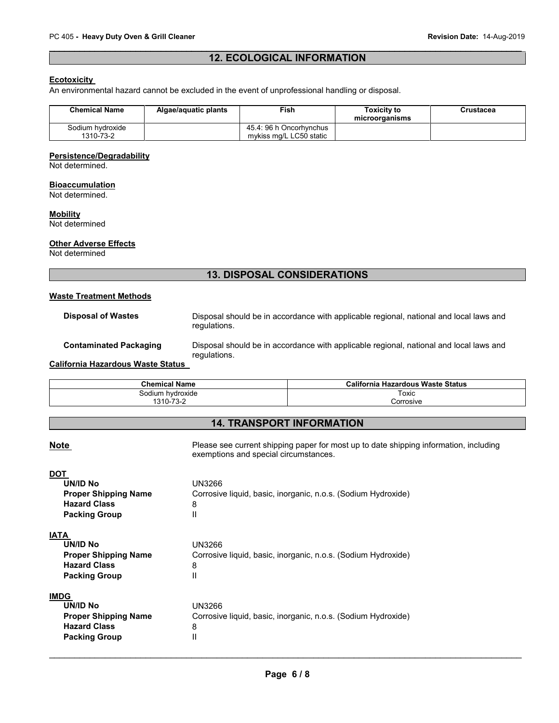# **12. ECOLOGICAL INFORMATION**

# **Ecotoxicity**

An environmental hazard cannot be excluded in the event of unprofessional handling or disposal.

| <b>Chemical Name</b> | Algae/aquatic plants | Fish                    | Toxicity to<br>microorganisms | Crustacea |
|----------------------|----------------------|-------------------------|-------------------------------|-----------|
| Sodium hvdroxide     |                      | 45.4: 96 h Oncorhvnchus |                               |           |
| 1310-73-2            |                      | mykiss mg/L LC50 static |                               |           |

#### **Persistence/Degradability**

Not determined.

#### **Bioaccumulation**

Not determined.

#### **Mobility**

Not determined

# **Other Adverse Effects**

Not determined

# **13. DISPOSAL CONSIDERATIONS**

# **Waste Treatment Methods**

**Disposal of Wastes** Disposal should be in accordance with applicable regional, national and local laws and regulations.

# **Contaminated Packaging** Disposal should be in accordance with applicable regional, national and local laws and regulations.

**California Hazardous Waste Status**

| <b>Chemical Name</b> | California Hazardous Waste Status |  |
|----------------------|-----------------------------------|--|
| Sodium hydroxide     | Гохіс                             |  |
| 1310-73-2            | Corrosive                         |  |

# **14. TRANSPORT INFORMATION**

# $\overline{\phantom{a}}$  , and the contribution of the contribution of the contribution of the contribution of the contribution of the contribution of the contribution of the contribution of the contribution of the contribution of the **Note Please see current shipping paper for most up to date shipping information, including vertiles and the Please see current shipping paper for most up to date shipping information, including** exemptions and special circumstances. **DOT UN/ID No** UN3266 **Proper Shipping Name** Corrosive liquid, basic, inorganic, n.o.s. (Sodium Hydroxide) **Hazard Class** 8 **Packing Group** II **IATA UN/ID No** UN3266<br>**Proper Shipping Name** Corrosiv Corrosive liquid, basic, inorganic, n.o.s. (Sodium Hydroxide) **Hazard Class** 8 **Packing Group** II **IMDG UN/ID No** UN3266 **Proper Shipping Name** Corrosive liquid, basic, inorganic, n.o.s. (Sodium Hydroxide) **Hazard Class** 8 **Packing Group II**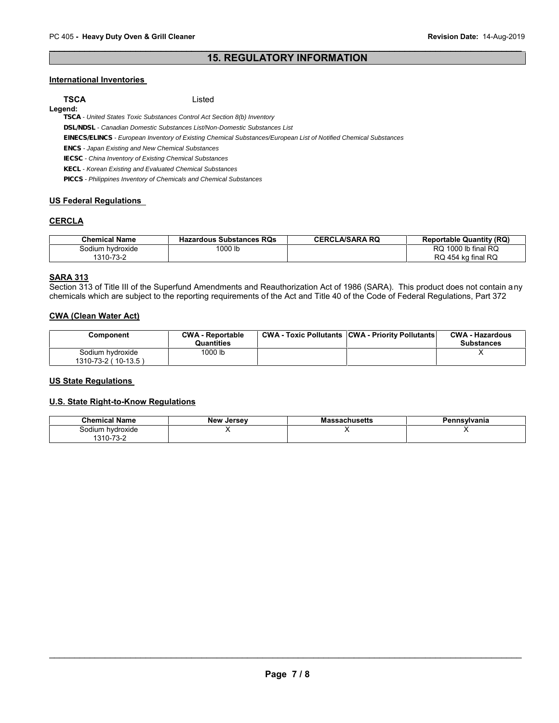# **15. REGULATORY INFORMATION**

# **International Inventories**

**Legend:**

**TSCA** Listed

*TSCA - United States Toxic Substances Control Act Section 8(b) Inventory*

*DSL/NDSL - Canadian Domestic Substances List/Non-Domestic Substances List*

*EINECS/ELINCS - European Inventory of Existing Chemical Substances/European List of Notified Chemical Substances*

*ENCS - Japan Existing and New Chemical Substances*

*IECSC - China Inventory of Existing Chemical Substances*

*KECL - Korean Existing and Evaluated Chemical Substances*

*PICCS - Philippines Inventory of Chemicals and Chemical Substances*

# **US Federal Regulations**

# **CERCLA**

| <b>Chemical Name</b> | <b>Hazardous Substances RQs</b> | <b>CERCLA/SARA RQ</b> | <b>Reportable Quantity (RQ)</b> |
|----------------------|---------------------------------|-----------------------|---------------------------------|
| Sodium hvdroxide     | 1000 lb                         |                       | 1000 lb final RQ<br>RQ          |
| 1310-73-2            |                                 |                       | RQ 454 kg final RQ              |

# **SARA 313**

Section 313 of Title III of the Superfund Amendments and Reauthorization Act of 1986 (SARA). This product does not contain any chemicals which are subject to the reporting requirements of the Act and Title 40 of the Code of Federal Regulations, Part 372

# **CWA (Clean Water Act)**

| Component                                 | <b>CWA - Reportable</b><br><b>Quantities</b> | <b>CWA - Toxic Pollutants CWA - Priority Pollutants</b> | <b>CWA - Hazardous</b><br><b>Substances</b> |
|-------------------------------------------|----------------------------------------------|---------------------------------------------------------|---------------------------------------------|
| Sodium hvdroxide<br>1310-73-2 ( 10-13.5 ) | 1000 lb                                      |                                                         |                                             |

# **US State Regulations**

# **U.S. State Right-to-Know Regulations**

| ' Name<br>Chemical                               | <b>New</b><br>Jersev | ıssachusetts<br>мa | Pennsvlvania |
|--------------------------------------------------|----------------------|--------------------|--------------|
| hvdroxide<br>$\sum$<br>∴ndli .<br>$\overline{z}$ |                      |                    |              |
| '310-<br>∕ -ت .                                  |                      |                    |              |